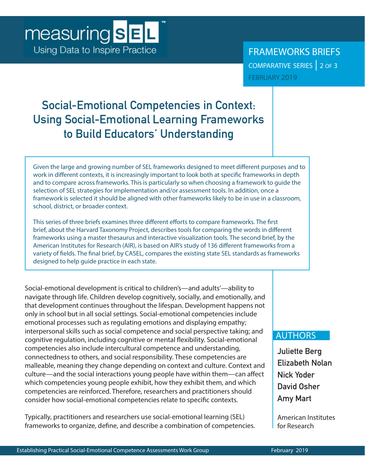# **Social-Emotional Competencies in Context: Using Social-Emotional Learning Frameworks to Build Educators' Understanding**

Given the large and growing number of SEL frameworks designed to meet different purposes and to work in different contexts, it is increasingly important to look both at specific frameworks in depth and to compare across frameworks. This is particularly so when choosing a framework to guide the selection of SEL strategies for implementation and/or assessment tools. In addition, once a framework is selected it should be aligned with other frameworks likely to be in use in a classroom, school, district, or broader context.

This series of three briefs examines three different efforts to compare frameworks. The first brief, about the Harvard Taxonomy Project, describes tools for comparing the words in different frameworks using a master thesaurus and interactive visualization tools. The second brief, by the American Institutes for Research (AIR), is based on AIR's study of 136 different frameworks from a variety of fields. The final brief, by CASEL, compares the existing state SEL standards as frameworks designed to help guide practice in each state.

Social-emotional development is critical to children's—and adults'—ability to navigate through life. Children develop cognitively, socially, and emotionally, and that development continues throughout the lifespan. Development happens not only in school but in all social settings. Social-emotional competencies include emotional processes such as regulating emotions and displaying empathy; interpersonal skills such as social competence and social perspective taking; and cognitive regulation, including cognitive or mental flexibility. Social-emotional competencies also include intercultural competence and understanding, connectedness to others, and social responsibility. These competencies are malleable, meaning they change depending on context and culture. Context and culture—and the social interactions young people have within them—can affect which competencies young people exhibit, how they exhibit them, and which competencies are reinforced. Therefore, researchers and practitioners should consider how social-emotional competencies relate to specific contexts.

Typically, practitioners and researchers use social-emotional learning (SEL) frameworks to organize, define, and describe a combination of competencies.

## AUTHORS

**Juliette Berg Elizabeth Nolan Nick Yoder David Osher Amy Mart**

American Institutes for Research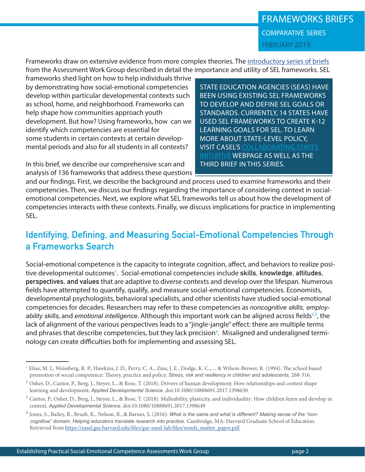Frameworks draw on extensive evidence from more complex theories. The [introductory series of briefs](http://measuringsel.casel.org/frameworks/) from the Assessment Work Group described in detail the importance and utility of SEL frameworks. SEL

frameworks shed light on how to help individuals thrive by demonstrating how social-emotional competencies develop within particular developmental contexts such as school, home, and neighborhood. Frameworks can help shape how communities approach youth development. But how? Using frameworks, how can we identify which competencies are essential for some students in certain contexts at certain developmental periods and also for all students in all contexts?

In this brief, we describe our comprehensive scan and analysis of 136 frameworks that address these questions

STATE EDUCATION AGENCIES (SEAS) HAVE BEEN USING EXISTING SEL FRAMEWORKS TO DEVELOP AND DEFINE SEL GOALS OR STANDARDS. CURRENTLY, 14 STATES HAVE USED SEL FRAMEWORKS TO CREATE K-12 LEARNING GOALS FOR SEL. TO LEARN MORE ABOUT STATE-LEVEL POLICY, VISIT CASEL'S [COLLABORATING STATES](https://casel.org/collaborative-state-initiative/)  [INITIATIVE](https://casel.org/collaborative-state-initiative/) WEBPAGE AS WELL AS THE THIRD BRIEF IN THIS SERIES.

and our findings. First, we describe the background and process used to examine frameworks and their competencies. Then, we discuss our findings regarding the importance of considering context in socialemotional competencies. Next, we explore what SEL frameworks tell us about how the development of competencies interacts with these contexts. Finally, we discuss implications for practice in implementing SEL.

# **Identifying, Defining, and Measuring Social-Emotional Competencies Through a Frameworks Search**

Social-emotional competence is the capacity to integrate cognition, affect, and behaviors to realize positive developmental outcomes<sup>1</sup>. Social-emotional competencies include **skills, knowledge, attitudes, perspectives, and values** that are adaptive to diverse contexts and develop over the lifespan. Numerous fields have attempted to quantify, qualify, and measure social-emotional competencies. Economists, developmental psychologists, behavioral specialists, and other scientists have studied social-emotional competencies for decades. Researchers may refer to these competencies as *noncognitive skills, employ*ability skills, and emotional intelligence. Although this important work can be aligned across fields<sup>2,3</sup>, the lack of alignment of the various perspectives leads to a "jingle-jangle" effect: there are multiple terms and phrases that describe competencies, but they lack precision<sup>4</sup>. Misaligned and underaligned terminology can create difficulties both for implementing and assessing SEL.

<sup>1</sup> Elias, M. J., Weissberg, R. P., Hawkins, J. D., Perry, C. A., Zins, J. E., Dodge, K. C., ... & Wilson-Brewer, R. (1994). The school based promotion of social competence: Theory, practice and policy. *Stress, risk and resiliency in children and adolescents,* 268-316.

<sup>&</sup>lt;sup>2</sup> Osher, D., Cantor, P., Berg, J., Steyer, L., & Rose, T. (2018). Drivers of human development: How relationships and context shape learning and development. *Applied Developmental Science.* doi:10.1080/10888691.2017.1398650

<sup>&</sup>lt;sup>3</sup> Cantor, P., Osher, D., Berg, J., Steyer, L., & Rose, T. (2018). Malleability, plasticity, and individuality: How children learn and develop in context. *Applied Developmental Science*. doi:10.1080/10888691.2017.1398649

<sup>4</sup> Jones, S., Bailey, R., Brush, K., Nelson, B., & Barnes, S. (2016). *What is the same and what is different? Making sense of the "non cognitive" domain: Helping educators translate research into practice.* Cambridge, MA: Harvard Graduate School of Education. Retrieved from [https://easel.gse.harvard.edu/files/gse-easel-lab/files/words\\_matter\\_paper.pdf](https://easel.gse.harvard.edu/files/gse-easel-lab/files/words_matter_paper.pdf )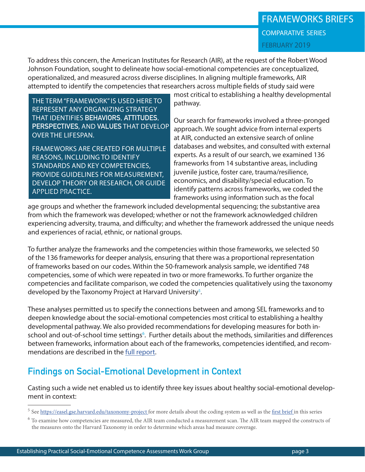# FRAMEWORKS BRIEFS comparative series FEBRUARY 2019

To address this concern, the American Institutes for Research (AIR), at the request of the Robert Wood Johnson Foundation, sought to delineate how social-emotional competencies are conceptualized, operationalized, and measured across diverse disciplines. In aligning multiple frameworks, AIR attempted to identify the competencies that researchers across multiple fields of study said were

THE TERM "FRAMEWORK" IS USED HERE TO REPRESENT ANY ORGANIZING STRATEGY THAT IDENTIFIES **BEHAVIORS, ATTITUDES, PERSPECTIVES**, AND **VALUES** THAT DEVELOP OVER THE LIFESPAN.

FRAMEWORKS ARE CREATED FOR MULTIPLE REASONS, INCLUDING TO IDENTIFY STANDARDS AND KEY COMPETENCIES, PROVIDE GUIDELINES FOR MEASUREMENT, DEVELOP THEORY OR RESEARCH, OR GUIDE APPLIED PRACTICE.

most critical to establishing a healthy developmental pathway.

Our search for frameworks involved a three-pronged approach. We sought advice from internal experts at AIR, conducted an extensive search of online databases and websites, and consulted with external experts. As a result of our search, we examined 136 frameworks from 14 substantive areas, including juvenile justice, foster care, trauma/resilience, economics, and disability/special education. To identify patterns across frameworks, we coded the frameworks using information such as the focal

age groups and whether the framework included developmental sequencing; the substantive area from which the framework was developed; whether or not the framework acknowledged children experiencing adversity, trauma, and difficulty; and whether the framework addressed the unique needs and experiences of racial, ethnic, or national groups.

To further analyze the frameworks and the competencies within those frameworks, we selected 50 of the 136 frameworks for deeper analysis, ensuring that there was a proportional representation of frameworks based on our codes. Within the 50-framework analysis sample, we identified 748 competencies, some of which were repeated in two or more frameworks. To further organize the competencies and facilitate comparison, we coded the competencies qualitatively using the taxonomy developed by the Taxonomy Project at Harvard University<sup>5</sup>.

These analyses permitted us to specify the connections between and among SEL frameworks and to deepen knowledge about the social-emotional competencies most critical to establishing a healthy developmental pathway. We also provided recommendations for developing measures for both inschool and out-of-school time settings<sup>6</sup>. Further details about the methods, similarities and differences between frameworks, information about each of the frameworks, competencies identified, and recommendations are described in the [full report](https://www.air.org/sites/default/files/downloads/report/Identifying-Defining-and-Measuring-Social-and-Emotional-Competencies-December-2017-rev.pdf).

# **Findings on Social-Emotional Development in Context**

Casting such a wide net enabled us to identify three key issues about healthy social-emotional development in context:

<sup>&</sup>lt;sup>5</sup> See [https://easel.gse.harvard.edu/taxonomy-project f](https://easel.gse.harvard.edu/taxonomy-project )or more details about the coding system as well as the [first brief](https://measuringsel.casel.org/wp-content/uploads/2019/01/Frameworks-C.1.pdf) in this series

 $6$  To examine how competencies are measured, the AIR team conducted a measurement scan. The AIR team mapped the constructs of the measures onto the Harvard Taxonomy in order to determine which areas had measure coverage.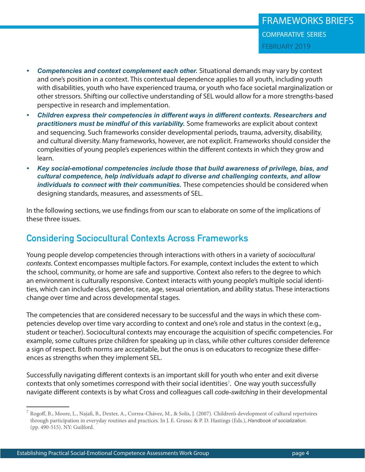- *• Competencies and context complement each other.* Situational demands may vary by context and one's position in a context. This contextual dependence applies to all youth, including youth with disabilities, youth who have experienced trauma, or youth who face societal marginalization or other stressors. Shifting our collective understanding of SEL would allow for a more strengths-based perspective in research and implementation.
- *• Children express their competencies in different ways in different contexts. Researchers and practitioners must be mindful of this variability.* Some frameworks are explicit about context and sequencing. Such frameworks consider developmental periods, trauma, adversity, disability, and cultural diversity. Many frameworks, however, are not explicit. Frameworks should consider the complexities of young people's experiences within the different contexts in which they grow and learn.
- *• Key social-emotional competencies include those that build awareness of privilege, bias, and cultural competence, help individuals adapt to diverse and challenging contexts, and allow individuals to connect with their communities.* These competencies should be considered when designing standards, measures, and assessments of SEL.

In the following sections, we use findings from our scan to elaborate on some of the implications of these three issues.

# **Considering Sociocultural Contexts Across Frameworks**

Young people develop competencies through interactions with others in a variety of *sociocultural contexts*. Context encompasses multiple factors. For example, context includes the extent to which the school, community, or home are safe and supportive. Context also refers to the degree to which an environment is culturally responsive. Context interacts with young people's multiple social identities, which can include class, gender, race, age, sexual orientation, and ability status. These interactions change over time and across developmental stages.

The competencies that are considered necessary to be successful and the ways in which these competencies develop over time vary according to context and one's role and status in the context (e.g., student or teacher). Sociocultural contexts may encourage the acquisition of specific competencies. For example, some cultures prize children for speaking up in class, while other cultures consider deference a sign of respect. Both norms are acceptable, but the onus is on educators to recognize these differences as strengths when they implement SEL.

Successfully navigating different contexts is an important skill for youth who enter and exit diverse contexts that only sometimes correspond with their social identities<sup>7</sup>. One way youth successfully navigate different contexts is by what Cross and colleagues call *code-switching* in their developmental

 $^7$  Rogoff, B., Moore, L., Najafi, B., Dexter, A., Correa-Chávez, M., & Solís, J. (2007). Children's development of cultural repertoires through participation in everyday routines and practices. In J. E. Grusec & P. D. Hastings (Eds.), *Handbook of socialization.* (pp. 490-515). NY: Guilford.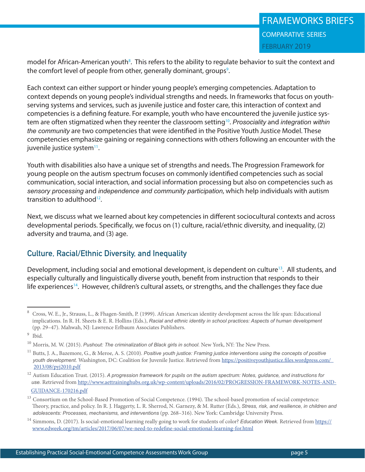model for African-American youth<sup>8</sup>. This refers to the ability to regulate behavior to suit the context and the comfort level of people from other, generally dominant, groups<sup>9</sup>.

Each context can either support or hinder young people's emerging competencies. Adaptation to context depends on young people's individual strengths and needs. In frameworks that focus on youthserving systems and services, such as juvenile justice and foster care, this interaction of context and competencies is a defining feature. For example, youth who have encountered the juvenile justice system are often stigmatized when they reenter the classroom setting10. *Prosociality* and *integration within the community* are two competencies that were identified in the Positive Youth Justice Model. These competencies emphasize gaining or regaining connections with others following an encounter with the juvenile justice system $11$ .

Youth with disabilities also have a unique set of strengths and needs. The Progression Framework for young people on the autism spectrum focuses on commonly identified competencies such as social communication, social interaction, and social information processing but also on competencies such as *sensory processing* and *independence and community participation*, which help individuals with autism transition to adulthood12.

Next, we discuss what we learned about key competencies in different sociocultural contexts and across developmental periods. Specifically, we focus on (1) culture, racial/ethnic diversity, and inequality, (2) adversity and trauma, and (3) age.

## **Culture, Racial/Ethnic Diversity, and Inequality**

Development, including social and emotional development, is dependent on culture<sup>13</sup>. All students, and especially culturally and linguistically diverse youth, benefit from instruction that responds to their life experiences<sup>14</sup>. However, children's cultural assets, or strengths, and the challenges they face due

<sup>8</sup> Cross, W. E., Jr., Strauss, L., & Fhagen-Smith, P. (1999). African American identity development across the life span: Educational implications. In R. H. Sheets & E. R. Hollins (Eds.), *Racial and ethnic identity in school practices: Aspects of human development* (pp. 29–47). Mahwah, NJ: Lawrence Erlbaum Associates Publishers.

<sup>9</sup> Ibid.

<sup>10</sup> Morris, M. W. (2015). *Pushout: The criminalization of Black girls in school.* New York, NY: The New Press.

<sup>&</sup>lt;sup>11</sup> Butts, J. A., Bazemore, G., & Meroe, A. S. (2010). *Positive youth justice: Framing justice interventions using the concepts of positive youth development.* Washington, DC: Coalition for Juvenile Justice. Retrieved from [https://positiveyouthjustice.files.wordpress.com/](https://positiveyouthjustice.files.wordpress.com/2013/08/pyj2010.pdf)   [2013/08/pyj2010.pdf](https://positiveyouthjustice.files.wordpress.com/2013/08/pyj2010.pdf) 

<sup>12</sup> Autism Education Trust. (2015). *A progression framework for pupils on the autism spectrum: Notes, guidance, and instructions for use.* Retrieved from [http://www.aettraininghubs.org.uk/wp-content/uploads/2016/02/PROGRESSION-FRAMEWORK-NOTES-AND-](http://www.aettraininghubs.org.uk/wp-content/uploads/2016/02/PROGRESSION-FRAMEWORK-NOTES-AND-GUIDANCE-170216.pdf )  [GUIDANCE-170216.pdf](http://www.aettraininghubs.org.uk/wp-content/uploads/2016/02/PROGRESSION-FRAMEWORK-NOTES-AND-GUIDANCE-170216.pdf )

<sup>13</sup> Consortium on the School-Based Promotion of Social Competence. (1994). The school-based promotion of social competence: Theory, practice, and policy. In R. J. Haggerty, L. R. Sherrod, N. Garnezy, & M. Rutter (Eds.), *Stress, risk, and resilience, in children and adolescents: Processes, mechanisms, and interventions* (pp. 268–316). New York: Cambridge University Press.

<sup>14</sup> Simmons, D. (2017). Is social-emotional learning really going to work for students of color? *Education Week.* Retrieved from [https://](https://www.edweek.org/tm/articles/2017/06/07/we-need-to-redefine-social-emotional-learning-for.html)  [www.edweek.org/tm/articles/2017/06/07/we-need-to-redefine-social-emotional-learning-for.html](https://www.edweek.org/tm/articles/2017/06/07/we-need-to-redefine-social-emotional-learning-for.html)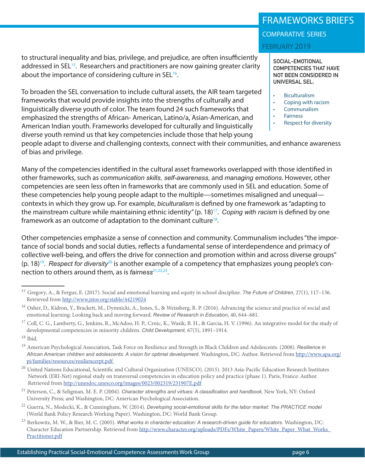to structural inequality and bias, privilege, and prejudice, are often insufficiently addressed in SEL<sup>15</sup>. Researchers and practitioners are now gaining greater clarity

To broaden the SEL conversation to include cultural assets, the AIR team targeted frameworks that would provide insights into the strengths of culturally and linguistically diverse youth of color. The team found 24 such frameworks that emphasized the strengths of African- American, Latino/a, Asian-American, and American Indian youth. Frameworks developed for culturally and linguistically diverse youth remind us that key competencies include those that help young

about the importance of considering culture in  $SEL^{16}$ .

people adapt to diverse and challenging contexts, connect with their communities, and enhance awareness of bias and privilege.

Many of the competencies identified in the cultural asset frameworks overlapped with those identified in other frameworks, such as *communication skills, self-awareness,* and *managing emotions*. However, other competencies are seen less often in frameworks that are commonly used in SEL and education. Some of these competencies help young people adapt to the multiple—sometimes misaligned and unequal contexts in which they grow up. For example, *biculturalism* is defined by one framework as "adapting to the mainstream culture while maintaining ethnic identity" (p. 18)17. *Coping with racism* is defined by one framework as an outcome of adaptation to the dominant culture<sup>18</sup>.

Other competencies emphasize a sense of connection and community. Communalism includes "the importance of social bonds and social duties, reflects a fundamental sense of interdependence and primacy of collective well-being, and offers the drive for connection and promotion within and across diverse groups" (p. 18)19. *Respect for diversity*20 is another example of a competency that emphasizes young people's connection to others around them, as is *fairness*<sup>21,22,23</sup>.

## FRAMEWORKS BRIEFS

comparative series

FEBRUARY 2019

**SOCIAL-EMOTIONAL COMPETENCIES THAT HAVE NOT BEEN CONSIDERED IN UNIVERSAL SEL:** 

- **Biculturalism**
- Coping with racism
- Communalism
- Fairness
	- Respect for diversity

<sup>15</sup> Gregory, A., & Fergus, E. (2017). Social and emotional learning and equity in school discipline. *The Future of Children,* 27(1), 117–136. Retrieved from<http://www.jstor.org/stable/44219024>

<sup>&</sup>lt;sup>16</sup> Osher, D., Kidron, Y., Brackett, M., Dymnicki, A., Jones, S., & Weissberg, R. P. (2016). Advancing the science and practice of social and emotional learning: Looking back and moving forward. *Review of Research in Education*, 40, 644–681.

<sup>&</sup>lt;sup>17</sup> Coll, C. G., Lamberty, G., Jenkins, R., McAdoo, H. P., Crnic, K., Wasik, B. H., & Garcia, H. V. (1996). An integrative model for the study of developmental competencies in minority children. *Child Development,* 67(5), 1891–1914.

 $18$  Ibid.

<sup>19</sup> American Psychological Association, Task Force on Resilience and Strength in Black Children and Adolescents. (2008). *Resilience in African American children and adolescents: A vision for optimal development.* Washington, DC: Author. Retrieved from [http://www.apa.org/](http://www.apa.org/pi/families/resources/resiliencerpt.pdf )  [pi/families/resources/resiliencerpt.pdf](http://www.apa.org/pi/families/resources/resiliencerpt.pdf ) 

<sup>&</sup>lt;sup>20</sup> United Nations Educational, Scientific and Cultural Organization (UNESCO). (2015). 2013 Asia-Pacific Education Research Institutes Network (ERI-Net) regional study on transversal competencies in education policy and practice (phase 1). Paris, France: Author. Retrieved from<http://unesdoc.unesco.org/images/0023/002319/231907E.pdf>

<sup>21</sup> Peterson, C., & Seligman, M. E. P. (2004). *Character strengths and virtues: A classification and handbook*. New York, NY: Oxford University Press; and Washington, DC: American Psychological Association.

<sup>&</sup>lt;sup>22</sup> Guerra, N., Modecki, K., & Cunningham, W. (2014). *Developing social-emotional skills for the labor market: The PRACTICE model* (World Bank Policy Research Working Paper). Washington, DC: World Bank Group.

<sup>&</sup>lt;sup>23</sup> Berkowitz, M. W., & Bier, M. C. (2005). What works in character education: A research-driven guide for educators. Washington, DC: Character Education Partnership. Retrieved from [http://www.character.org/uploads/PDFs/White\\_Papers/White\\_Paper\\_What\\_Works\\_](http://www.character.org/uploads/PDFs/White_Papers/White_Paper_What_Works_Practitioner.pdf)  [Practitioner.pdf](http://www.character.org/uploads/PDFs/White_Papers/White_Paper_What_Works_Practitioner.pdf)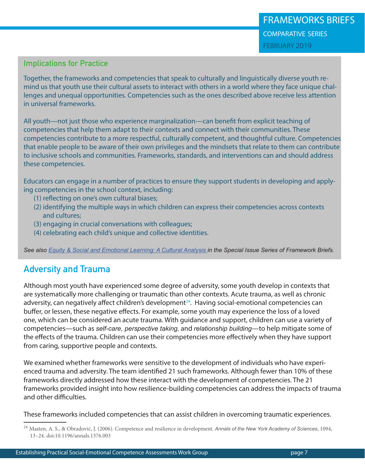## **Implications for Practice**

Together, the frameworks and competencies that speak to culturally and linguistically diverse youth remind us that youth use their cultural assets to interact with others in a world where they face unique challenges and unequal opportunities. Competencies such as the ones described above receive less attention in universal frameworks.

All youth—not just those who experience marginalization—can benefit from explicit teaching of competencies that help them adapt to their contexts and connect with their communities. These competencies contribute to a more respectful, culturally competent, and thoughtful culture. Competencies that enable people to be aware of their own privileges and the mindsets that relate to them can contribute to inclusive schools and communities. Frameworks, standards, and interventions can and should address these competencies.

Educators can engage in a number of practices to ensure they support students in developing and applying competencies in the school context, including:

- (1) reflecting on one's own cultural biases;
- (2) identifying the multiple ways in which children can express their competencies across contexts and cultures;
- (3) engaging in crucial conversations with colleagues;
- (4) celebrating each child's unique and collective identities.

*See also [Equity & Social and Emotional Learning: A Cultural Analysis](https://measuringsel.casel.org/wp-content/uploads/2018/11/Frameworks-Equity.pdf) in the Special Issue Series of Framework Briefs.*

# **Adversity and Trauma**

Although most youth have experienced some degree of adversity, some youth develop in contexts that are systematically more challenging or traumatic than other contexts. Acute trauma, as well as chronic adversity, can negatively affect children's development $24$ . Having social-emotional competencies can buffer, or lessen, these negative effects. For example, some youth may experience the loss of a loved one, which can be considered an acute trauma. With guidance and support, children can use a variety of competencies—such as *self-care, perspective taking,* and *relationship building*—to help mitigate some of the effects of the trauma. Children can use their competencies more effectively when they have support from caring, supportive people and contexts.

We examined whether frameworks were sensitive to the development of individuals who have experienced trauma and adversity. The team identified 21 such frameworks. Although fewer than 10% of these frameworks directly addressed how these interact with the development of competencies. The 21 frameworks provided insight into how resilience-building competencies can address the impacts of trauma and other difficulties.

These frameworks included competencies that can assist children in overcoming traumatic experiences.

<sup>24</sup> Masten, A. S., & Obradović, J. (2006). Competence and resilience in development. *Annals of the New York Academy of Sciences*, 1094, 13–24. doi:10.1196/annals.1376.003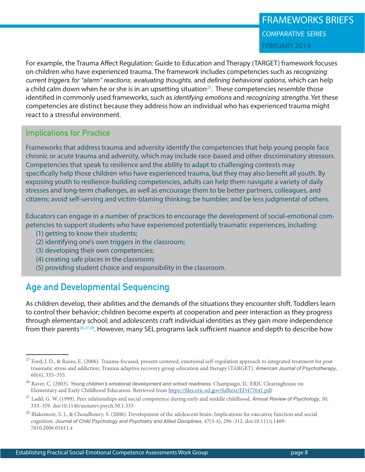For example, the Trauma Affect Regulation: Guide to Education and Therapy (TARGET) framework focuses on children who have experienced trauma. The framework includes competencies such as *recognizing current triggers for "alarm" reactions, evaluating thoughts,* and *defining behavioral options*, which can help a child calm down when he or she is in an upsetting situation<sup>25</sup>. These competencies resemble those identified in commonly used frameworks, such as *identifying emotions* and *recognizing strengths*. Yet these competencies are distinct because they address how an individual who has experienced trauma might react to a stressful environment.

## **Implications for Practice**

Frameworks that address trauma and adversity identify the competencies that help young people face chronic or acute trauma and adversity, which may include race-based and other discriminatory stressors. Competencies that speak to resilience and the ability to adapt to challenging contexts may specifically help those children who have experienced trauma, but they may also benefit all youth. By exposing youth to resilience-building competencies, adults can help them navigate a variety of daily stresses and long-term challenges, as well as encourage them to be better partners, colleagues, and citizens; avoid self-serving and victim-blaming thinking; be humbler; and be less judgmental of others.

Educators can engage in a number of practices to encourage the development of social-emotional competencies to support students who have experienced potentially traumatic experiences, including:

- (1) getting to know their students;
- (2) identifying one's own triggers in the classroom;
- (3) developing their own competencies;
- (4) creating safe places in the classroom;
- (5) providing student choice and responsibility in the classroom.

# **Age and Developmental Sequencing**

As children develop, their abilities and the demands of the situations they encounter shift. Toddlers learn to control their behavior; children become experts at cooperation and peer interaction as they progress through elementary school; and adolescents craft individual identities as they gain more independence from their parents<sup>26,27,28</sup>. However, many SEL programs lack sufficient nuance and depth to describe how

<sup>&</sup>lt;sup>25</sup> Ford, J. D., & Russo, E. (2006). Trauma-focused, present-centered, emotional self-regulation approach to integrated treatment for post traumatic stress and addiction: Trauma adaptive recovery group education and therapy (TARGET). *American Journal of Psychotherapy*, 60(4), 335–355.

<sup>&</sup>lt;sup>26</sup> Raver, C. (2003). *Young children's emotional development and school readiness*. Champaign, IL: ERIC Clearinghouse on Elementary and Early Childhood Education. Retrieved from <https://files.eric.ed.gov/fulltext/ED477641.pdf>

<sup>27</sup> Ladd, G. W. (1999). Peer relationships and social competence during early and middle childhood. *Annual Review of Psychology*, 50, 333–359. doi:10.1146/annurev.psych.50.1.333

<sup>&</sup>lt;sup>28</sup> Blakemore, S. J., & Choudhoury, S. (2006). Development of the adolescent brain: Implications for executive function and social cognition. *Journal of Child Psychology and Psychiatry and Allied Disciplines*, 47(3-4), 296–312. doi:10.111/j.1469- 7610.2006.01611.x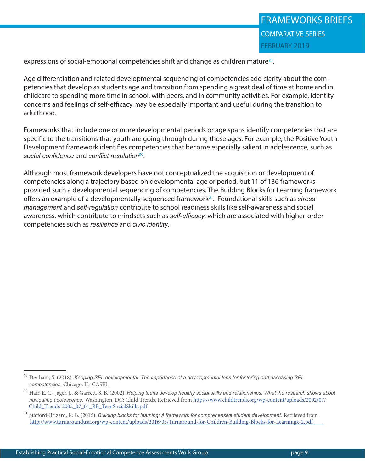expressions of social-emotional competencies shift and change as children mature<sup>29</sup>.

Age differentiation and related developmental sequencing of competencies add clarity about the competencies that develop as students age and transition from spending a great deal of time at home and in childcare to spending more time in school, with peers, and in community activities. For example, identity concerns and feelings of self-efficacy may be especially important and useful during the transition to adulthood.

Frameworks that include one or more developmental periods or age spans identify competencies that are specific to the transitions that youth are going through during those ages. For example, the Positive Youth Development framework identifies competencies that become especially salient in adolescence, such as *social confidence* and *conflict resolution*30.

Although most framework developers have not conceptualized the acquisition or development of competencies along a trajectory based on developmental age or period, but 11 of 136 frameworks provided such a developmental sequencing of competencies. The Building Blocks for Learning framework offers an example of a developmentally sequenced framework31. Foundational skills such as *stress management* and *self-regulation* contribute to school readiness skills like self-awareness and social awareness, which contribute to mindsets such as *self-efficacy*, which are associated with higher-order competencies such as *resilience* and *civic identity*.

<sup>29</sup> Denham, S. (2018). *Keeping SEL developmental: The importance of a developmental lens for fostering and assessing SEL competencies.* Chicago, IL: CASEL.

<sup>30</sup> Hair, E. C., Jager, J., & Garrett, S. B. (2002). *Helping teens develop healthy social skills and relationships: What the research shows about navigating adolescence.* Washington, DC: Child Trends. Retrieved from [https://www.childtrends.org/wp-content/uploads/2002/07/](https://www.childtrends.org/wp-content/uploads/2002/07/Child_Trends-2002_07_01_RB_TeenSocialSkills.pdf)  [Child\\_Trends-2002\\_07\\_01\\_RB\\_TeenSocialSkills.pdf](https://www.childtrends.org/wp-content/uploads/2002/07/Child_Trends-2002_07_01_RB_TeenSocialSkills.pdf)

<sup>&</sup>lt;sup>31</sup> Stafford-Brizard, K. B. (2016). *Building blocks for learning: A framework for comprehensive student development*. Retrieved from [http://www.turnaroundusa.org/wp-content/uploads/2016/03/Turnaround-for-Children-Building-Blocks-for-Learningx-2.pdf]( http://www.turnaroundusa.org/wp-content/uploads/2016/03/Turnaround-for-Children-Building-Blocks-for-Learningx-2.pdf )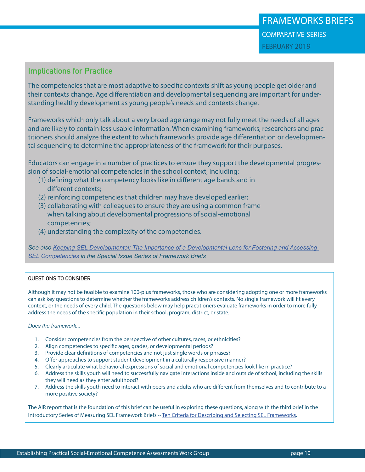## **Implications for Practice**

The competencies that are most adaptive to specific contexts shift as young people get older and their contexts change. Age differentiation and developmental sequencing are important for understanding healthy development as young people's needs and contexts change.

Frameworks which only talk about a very broad age range may not fully meet the needs of all ages and are likely to contain less usable information. When examining frameworks, researchers and practitioners should analyze the extent to which frameworks provide age differentiation or developmental sequencing to determine the appropriateness of the framework for their purposes.

Educators can engage in a number of practices to ensure they support the developmental progression of social-emotional competencies in the school context, including:

- (1) defining what the competency looks like in different age bands and in different contexts;
- (2) reinforcing competencies that children may have developed earlier;
- (3) collaborating with colleagues to ensure they are using a common frame when talking about developmental progressions of social-emotional competencies;
- (4) understanding the complexity of the competencies.

*See also [Keeping SEL Developmental: The Importance of a Developmental Lens for Fostering and Assessing](https://measuringsel.casel.org/wp-content/uploads/2018/11/Frameworks-DevSEL.pdf)  [SEL Competencies](https://measuringsel.casel.org/wp-content/uploads/2018/11/Frameworks-DevSEL.pdf) in the Special Issue Series of Framework Briefs*

#### **QUESTIONS TO CONSIDER**

Although it may not be feasible to examine 100-plus frameworks, those who are considering adopting one or more frameworks can ask key questions to determine whether the frameworks address children's contexts. No single framework will fit every context, or the needs of every child. The questions below may help practitioners evaluate frameworks in order to more fully address the needs of the specific population in their school, program, district, or state.

*Does the framework...*

- 1. Consider competencies from the perspective of other cultures, races, or ethnicities?
- 2. Align competencies to specific ages, grades, or developmental periods?
- 3. Provide clear definitions of competencies and not just single words or phrases?
- 4. Offer approaches to support student development in a culturally responsive manner?
- 5. Clearly articulate what behavioral expressions of social and emotional competencies look like in practice?
- 6. Address the skills youth will need to successfully navigate interactions inside and outside of school, including the skills they will need as they enter adulthood?
- 7. Address the skills youth need to interact with peers and adults who are different from themselves and to contribute to a more positive society?

The AIR report that is the foundation of this brief can be useful in exploring these questions, along with the third brief in the Introductory Series of Measuring SEL Framework Briefs -- [Ten Criteria for Describing and Selecting SEL Frameworks.](https://measuringsel.casel.org/wp-content/uploads/2018/09/Framework-A.3.pdf)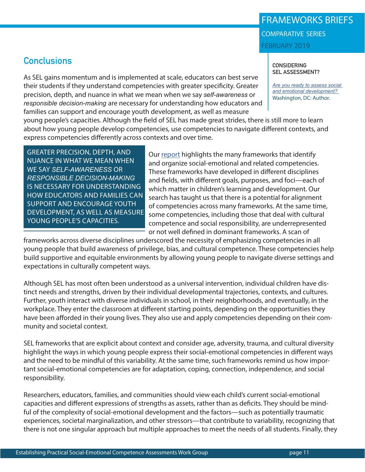#### Establishing Practical Social-Emotional Competence Assessments Work Group page 11

**Conclusions**

As SEL gains momentum and is implemented at scale, educators can best serve their students if they understand competencies with greater specificity. Greater precision, depth, and nuance in what we mean when we say *self-awareness* or *responsible decision-making* are necessary for understanding how educators and families can support and encourage youth development, as well as measure

young people's capacities. Although the field of SEL has made great strides, there is still more to learn about how young people develop competencies, use competencies to navigate different contexts, and express competencies differently across contexts and over time.

GREATER PRECISION, DEPTH, AND NUANCE IN WHAT WE MEAN WHEN WE SAY *SELF-AWARENESS* OR *RESPONSIBLE DECISION-MAKING* IS NECESSARY FOR UNDERSTANDING HOW EDUCATORS AND FAMILIES CAN SUPPORT AND ENCOURAGE YOUTH DEVELOPMENT, AS WELL AS MEASURE YOUNG PEOPLE'S CAPACITIES.

Our [report](https://www.air.org/sites/default/files/downloads/report/Identifying-Defining-and-Measuring-Social-and-Emotional-Competencies-December-2017-rev.pdf) highlights the many frameworks that identify and organize social-emotional and related competencies. These frameworks have developed in different disciplines and fields, with different goals, purposes, and foci—each of which matter in children's learning and development. Our search has taught us that there is a potential for alignment of competencies across many frameworks. At the same time, some competencies, including those that deal with cultural competence and social responsibility, are underrepresented or not well defined in dominant frameworks. A scan of

frameworks across diverse disciplines underscored the necessity of emphasizing competencies in all young people that build awareness of privilege, bias, and cultural competence. These competencies help build supportive and equitable environments by allowing young people to navigate diverse settings and expectations in culturally competent ways.

Although SEL has most often been understood as a universal intervention, individual children have distinct needs and strengths, driven by their individual developmental trajectories, contexts, and cultures. Further, youth interact with diverse individuals in school, in their neighborhoods, and eventually, in the workplace. They enter the classroom at different starting points, depending on the opportunities they have been afforded in their young lives. They also use and apply competencies depending on their community and societal context.

SEL frameworks that are explicit about context and consider age, adversity, trauma, and cultural diversity highlight the ways in which young people express their social-emotional competencies in different ways and the need to be mindful of this variability. At the same time, such frameworks remind us how important social-emotional competencies are for adaptation, coping, connection, independence, and social responsibility.

Researchers, educators, families, and communities should view each child's current social-emotional capacities and different expressions of strengths as assets, rather than as deficits. They should be mindful of the complexity of social-emotional development and the factors—such as potentially traumatic experiences, societal marginalization, and other stressors—that contribute to variability, recognizing that there is not one singular approach but multiple approaches to meet the needs of all students. Finally, they

FRAMEWORKS BRIEFS comparative series FEBRUARY 2019

> **CONSIDERING SEL ASSESSMENT?**

*[Are you ready to assess social](https://www.air.org/resource/are-you-ready-assess-social-and-emotional-development )  [and emotional development?](https://www.air.org/resource/are-you-ready-assess-social-and-emotional-development )*  Washington, DC: Author.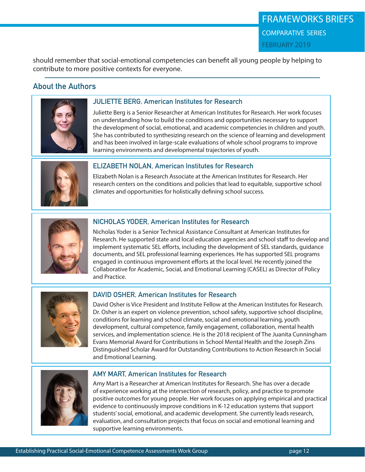should remember that social-emotional competencies can benefit all young people by helping to contribute to more positive contexts for everyone.

# **About the Authors**



### **JULIETTE BERG, American Institutes for Research**

Juliette Berg is a Senior Researcher at American Institutes for Research. Her work focuses on understanding how to build the conditions and opportunities necessary to support the development of social, emotional, and academic competencies in children and youth. She has contributed to synthesizing research on the science of learning and development and has been involved in large-scale evaluations of whole school programs to improve learning environments and developmental trajectories of youth.



#### **ELIZABETH NOLAN, American Institutes for Research**

Elizabeth Nolan is a Research Associate at the American Institutes for Research. Her research centers on the conditions and policies that lead to equitable, supportive school climates and opportunities for holistically defining school success.



### **NICHOLAS YODER, American Institutes for Research**

Nicholas Yoder is a Senior Technical Assistance Consultant at American Institutes for Research. He supported state and local education agencies and school staff to develop and implement systematic SEL efforts, including the development of SEL standards, guidance documents, and SEL professional learning experiences. He has supported SEL programs engaged in continuous improvement efforts at the local level. He recently joined the Collaborative for Academic, Social, and Emotional Learning (CASEL) as Director of Policy and Practice.



### **DAVID OSHER, American Institutes for Research**

David Osher is Vice President and Institute Fellow at the American Institutes for Research. Dr. Osher is an expert on violence prevention, school safety, supportive school discipline, conditions for learning and school climate, social and emotional learning, youth development, cultural competence, family engagement, collaboration, mental health services, and implementation science. He is the 2018 recipient of The Juanita Cunningham Evans Memorial Award for Contributions in School Mental Health and the Joseph Zins Distinguished Scholar Award for Outstanding Contributions to Action Research in Social and Emotional Learning.



#### **AMY MART, American Institutes for Research**

Amy Mart is a Researcher at American Institutes for Research. She has over a decade of experience working at the intersection of research, policy, and practice to promote positive outcomes for young people. Her work focuses on applying empirical and practical evidence to continuously improve conditions in K-12 education systems that support students' social, emotional, and academic development. She currently leads research, evaluation, and consultation projects that focus on social and emotional learning and supportive learning environments.